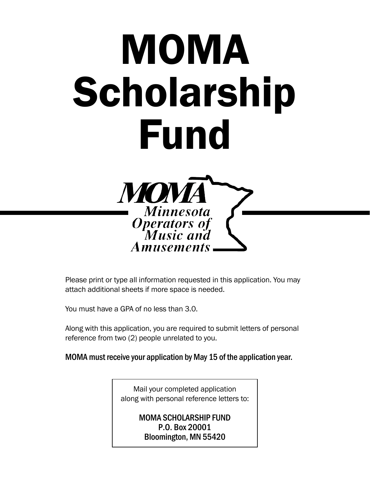# MOMA Scholarship Fund



Please print or type all information requested in this application. You may attach additional sheets if more space is needed.

You must have a GPA of no less than 3.0.

Along with this application, you are required to submit letters of personal reference from two (2) people unrelated to you.

MOMA must receive your application by May 15 of the application year.

Mail your completed application along with personal reference letters to:

> MOMA SCHOLARSHIP FUND P.O. Box 20001 Bloomington, MN 55420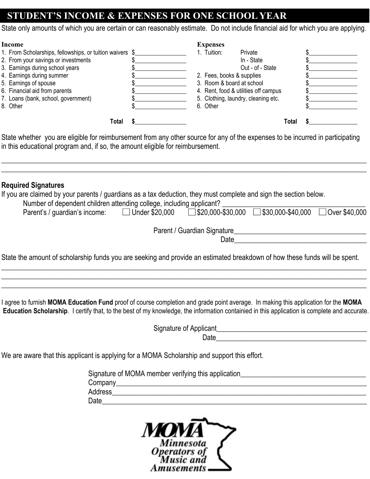#### **STUDENT'S INCOME & EXPENSES FOR ONE SCHOOL YEAR**

State only amounts of which you are certain or can reasonably estimate. Do not include financial aid for which you are applying.

| <b>Income</b>                                                                                                                  | <b>Expenses</b>                      |  |
|--------------------------------------------------------------------------------------------------------------------------------|--------------------------------------|--|
| 1. From Scholarships, fellowships, or tuition waivers \$                                                                       | Private<br>1. Tuition:               |  |
| 2. From your savings or investments                                                                                            | In - State                           |  |
| 3. Earnings during school years                                                                                                | Out - of - State                     |  |
| 4. Earnings during summer                                                                                                      | 2. Fees, books & supplies            |  |
| 5. Earnings of spouse                                                                                                          | 3. Room & board at school            |  |
| 6. Financial aid from parents                                                                                                  | 4. Rent, food & utilities off campus |  |
| 7. Loans (bank, school, government)                                                                                            | 5. Clothing, laundry, cleaning etc.  |  |
| 8. Other                                                                                                                       | 6. Other                             |  |
| Total                                                                                                                          | Total                                |  |
| State whether you are eligible for reimbursement from any other source for any of the expenses to be incurred in participating |                                      |  |

State whether you are eligible for reimbursement from any other source for any of the expenses to be incurred in participating in this educational program and, if so, the amount eligible for reimbursement.

**\_\_\_\_\_\_\_\_\_\_\_\_\_\_\_\_\_\_\_\_\_\_\_\_\_\_\_\_\_\_\_\_\_\_\_\_\_\_\_\_\_\_\_\_\_\_\_\_\_\_\_\_\_\_\_\_\_\_\_\_\_\_\_\_\_\_\_\_\_\_\_\_\_\_\_\_\_\_\_\_\_\_\_\_\_\_\_\_\_\_\_\_\_\_\_\_\_\_\_\_\_\_ \_\_\_\_\_\_\_\_\_\_\_\_\_\_\_\_\_\_\_\_\_\_\_\_\_\_\_\_\_\_\_\_\_\_\_\_\_\_\_\_\_\_\_\_\_\_\_\_\_\_\_\_\_\_\_\_\_\_\_\_\_\_\_\_\_\_\_\_\_\_\_\_\_\_\_\_\_\_\_\_\_\_\_\_\_\_\_\_\_\_\_\_\_\_\_\_\_\_\_\_\_\_**

#### **Required Signatures**

If you are claimed by your parents / guardians as a tax deduction, they must complete and sign the section below.

| Number of dependent children attending college, including applicant? |                       |                                                                        |  |
|----------------------------------------------------------------------|-----------------------|------------------------------------------------------------------------|--|
| Parent's / guardian's income:                                        | $\Box$ Under \$20,000 | $\Box$ \$20,000-\$30,000 $\Box$ \$30,000-\$40,000 $\Box$ Over \$40,000 |  |

Parent / Guardian Signature\_\_\_\_\_\_\_\_\_\_\_\_\_\_\_\_\_\_\_\_\_\_\_\_\_\_\_\_\_\_\_\_\_\_\_\_\_

State the amount of scholarship funds you are seeking and provide an estimated breakdown of how these funds will be spent.

\_\_\_\_\_\_\_\_\_\_\_\_\_\_\_\_\_\_\_\_\_\_\_\_\_\_\_\_\_\_\_\_\_\_\_\_\_\_\_\_\_\_\_\_\_\_\_\_\_\_\_\_\_\_\_\_\_\_\_\_\_\_\_\_\_\_\_\_\_\_\_\_\_\_\_\_\_\_\_\_\_\_\_\_\_\_\_\_\_\_\_\_\_\_\_\_\_\_\_\_\_\_ \_\_\_\_\_\_\_\_\_\_\_\_\_\_\_\_\_\_\_\_\_\_\_\_\_\_\_\_\_\_\_\_\_\_\_\_\_\_\_\_\_\_\_\_\_\_\_\_\_\_\_\_\_\_\_\_\_\_\_\_\_\_\_\_\_\_\_\_\_\_\_\_\_\_\_\_\_\_\_\_\_\_\_\_\_\_\_\_\_\_\_\_\_\_\_\_\_\_\_\_\_\_ \_\_\_\_\_\_\_\_\_\_\_\_\_\_\_\_\_\_\_\_\_\_\_\_\_\_\_\_\_\_\_\_\_\_\_\_\_\_\_\_\_\_\_\_\_\_\_\_\_\_\_\_\_\_\_\_\_\_\_\_\_\_\_\_\_\_\_\_\_\_\_\_\_\_\_\_\_\_\_\_\_\_\_\_\_\_\_\_\_\_\_\_\_\_\_\_\_\_\_\_\_\_

I agree to furnish **MOMA Education Fund** proof of course completion and grade point average. In making this application for the **MOMA Education Scholarship**. I certify that, to the best of my knowledge, the information containied in this application is complete and accurate.

> Signature of Applicant\_\_\_\_\_\_\_\_\_\_\_\_\_\_\_\_\_\_\_\_\_\_\_\_\_\_\_\_\_\_\_\_\_\_\_\_\_\_\_\_\_\_  $Date$  and  $Date$  and  $Date$  and  $Date$  and  $Date$  and  $Date$  and  $Date$  and  $Date$  and  $Date$  and  $Date$  and  $Date$  and  $Date$  and  $Date$  and  $Date$  and  $Date$  and  $Date$  and  $Date$  and  $Date$  and  $Date$  and  $Date$  and  $Date$  and  $Date$  and  $Date$  and  $Date$  and  $Date$  and  $Date$  and  $Date$  and  $Date$  a

 $Date$ 

We are aware that this applicant is applying for a MOMA Scholarship and support this effort.

|                | Signature of MOMA member verifying this application_ |
|----------------|------------------------------------------------------|
| Company        |                                                      |
| <b>Address</b> |                                                      |
| Date           |                                                      |

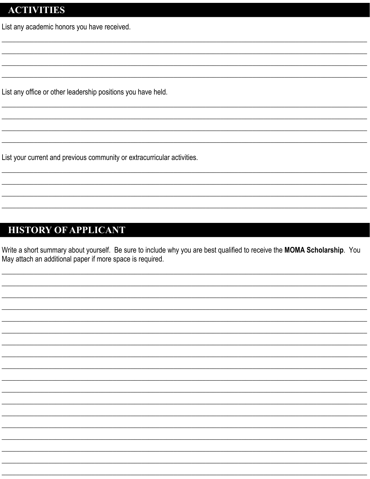#### **ACTIVITIES**

List any academic honors you have received.

List any office or other leadership positions you have held.

List your current and previous community or extracurricular activities.

### **HISTORY OF APPLICANT**

Write a short summary about yourself. Be sure to include why you are best qualified to receive the MOMA Scholarship. You May attach an additional paper if more space is required.